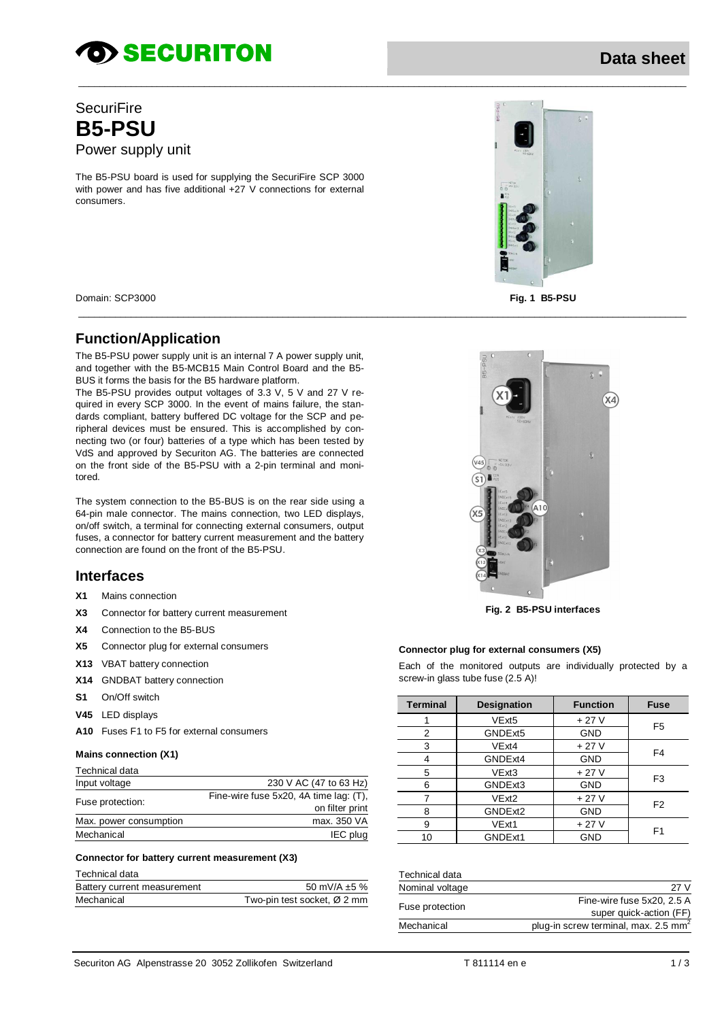# **OD SECURITON**

## **SecuriFire B5-PSU** Power supply unit

The B5-PSU board is used for supplying the SecuriFire SCP 3000 with power and has five additional +27 V connections for external consumers.

Domain: SCP3000

### **Function/Application**

The B5-PSU power supply unit is an internal 7 A power supply unit, and together with the B5-MCB15 Main Control Board and the B5-BUS it forms the basis for the B5 hardware platform.

The B5-PSU provides output voltages of 3.3 V, 5 V and 27 V required in every SCP 3000. In the event of mains failure, the standards compliant, battery buffered DC voltage for the SCP and peripheral devices must be ensured. This is accomplished by connecting two (or four) batteries of a type which has been tested by VdS and approved by Securiton AG. The batteries are connected on the front side of the B5-PSU with a 2-pin terminal and monitored.

The system connection to the B5-BUS is on the rear side using a 64-pin male connector. The mains connection, two LED displays, on/off switch, a terminal for connecting external consumers, output fuses, a connector for battery current measurement and the battery connection are found on the front of the B5-PSU.

### **Interfaces**

- $Y<sub>1</sub>$ Mains connection
- $X3$ Connector for battery current measurement
- $X<sub>4</sub>$ Connection to the B5-BUS
- $X<sub>5</sub>$ Connector plug for external consumers
- X13 VBAT battery connection
- X14 GNDBAT battery connection
- $S<sub>1</sub>$ On/Off switch
- V45 LED displays

**Service State** 

A10 Fuses F1 to F5 for external consumers

#### **Mains connection (X1)**

| I echnical data        |                                        |
|------------------------|----------------------------------------|
| Input voltage          | 230 V AC (47 to 63 Hz)                 |
| Fuse protection:       | Fine-wire fuse 5x20, 4A time lag: (T), |
|                        | on filter print                        |
| Max. power consumption | max. 350 VA                            |
| Mechanical             | IEC plug                               |

#### Connector for battery current measurement (X3)

| Technical data              |                             |
|-----------------------------|-----------------------------|
| Battery current measurement | 50 mV/A $±5$ %              |
| Mechanical                  | Two-pin test socket, Ø 2 mm |



Fig. 1 B5-PSU



Fig. 2 B5-PSU interfaces

#### Connector plug for external consumers (X5)

Each of the monitored outputs are individually protected by a screw-in glass tube fuse (2.5 A)!

| <b>Terminal</b> | <b>Designation</b>          | <b>Function</b> | <b>Fuse</b>    |  |
|-----------------|-----------------------------|-----------------|----------------|--|
|                 | VExt <sub>5</sub><br>$+27V$ |                 |                |  |
| 2               | GNDExt5                     | <b>GND</b>      | F <sub>5</sub> |  |
| 3               | VExt4                       | $+27V$          | F <sub>4</sub> |  |
| 4               | GNDExt4<br><b>GND</b>       |                 |                |  |
| 5               | VExt <sub>3</sub>           | $+27V$          | F <sub>3</sub> |  |
| 6               | GNDExt3                     | <b>GND</b>      |                |  |
|                 | VExt <sub>2</sub>           | $+27V$          | F <sub>2</sub> |  |
| 8               | GNDExt <sub>2</sub>         | <b>GND</b>      |                |  |
| 9               | VExt1                       | $+27V$          | F <sub>1</sub> |  |
| 10              | GNDExt1                     | <b>GND</b>      |                |  |

| Technical data  |                                                  |
|-----------------|--------------------------------------------------|
| Nominal voltage | 27 V                                             |
| Fuse protection | Fine-wire fuse 5x20, 2.5 A                       |
|                 | super quick-action (FF)                          |
| Mechanical      | plug-in screw terminal, max. 2.5 mm <sup>2</sup> |
|                 |                                                  |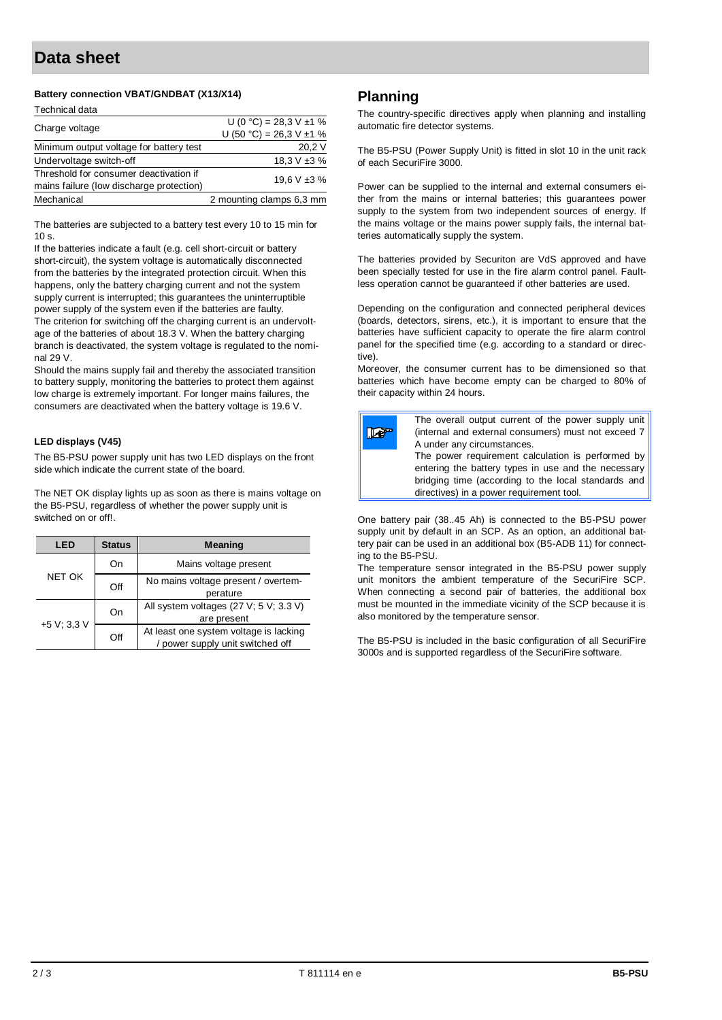### **Battery connection VBAT/GNDBAT (X13/X14)**

| Technical data |  |
|----------------|--|
|----------------|--|

| Charge voltage                                                                     | U (0 °C) = 28,3 V $\pm$ 1 % |
|------------------------------------------------------------------------------------|-----------------------------|
|                                                                                    | U (50 °C) = 26,3 V ±1 %     |
| Minimum output voltage for battery test                                            | 20,2 V                      |
| Undervoltage switch-off                                                            | 18.3 V ±3 %                 |
| Threshold for consumer deactivation if<br>mains failure (low discharge protection) | 19.6 V ±3 %                 |
| Mechanical                                                                         | 2 mounting clamps 6,3 mm    |

The batteries are subjected to a battery test every 10 to 15 min for  $10<sup>°</sup>$ 

If the batteries indicate a fault (e.g. cell short-circuit or battery short-circuit), the system voltage is automatically disconnected from the batteries by the integrated protection circuit. When this happens, only the battery charging current and not the system supply current is interrupted; this guarantees the uninterruptible power supply of the system even if the batteries are faulty. The criterion for switching off the charging current is an undervoltage of the batteries of about 18.3 V. When the battery charging branch is deactivated, the system voltage is regulated to the nominal 29 V.

Should the mains supply fail and thereby the associated transition to battery supply, monitoring the batteries to protect them against low charge is extremely important. For longer mains failures, the consumers are deactivated when the battery voltage is 19.6 V.

#### **LED displays (V45)**

The B5-PSU power supply unit has two LED displays on the front side which indicate the current state of the board.

The NET OK display lights up as soon as there is mains voltage on the B5-PSU, regardless of whether the power supply unit is switched on or off!.

| LED           | <b>Status</b> | <b>Meaning</b>                                                             |
|---------------|---------------|----------------------------------------------------------------------------|
|               | On            | Mains voltage present                                                      |
| NET OK        | Off           | No mains voltage present / overtem-<br>perature                            |
| On            |               | All system voltages (27 V; 5 V; 3.3 V)<br>are present                      |
| $+5$ V; 3,3 V | Off           | At least one system voltage is lacking<br>/ power supply unit switched off |

### **Planning**

The country-specific directives apply when planning and installing automatic fire detector systems.

The B5-PSU (Power Supply Unit) is fitted in slot 10 in the unit rack of each SecuriFire 3000.

Power can be supplied to the internal and external consumers either from the mains or internal batteries; this guarantees power supply to the system from two independent sources of energy. If the mains voltage or the mains power supply fails, the internal batteries automatically supply the system.

The batteries provided by Securiton are VdS approved and have been specially tested for use in the fire alarm control panel. Faultless operation cannot be guaranteed if other batteries are used.

Depending on the configuration and connected peripheral devices (boards, detectors, sirens, etc.), it is important to ensure that the batteries have sufficient capacity to operate the fire alarm control panel for the specified time (e.g. according to a standard or directive).

Moreover, the consumer current has to be dimensioned so that batteries which have become empty can be charged to 80% of their capacity within 24 hours.

| The overall output current of the power supply unit<br>(internal and external consumers) must not exceed 7<br>A under any circumstances.                                                                    |
|-------------------------------------------------------------------------------------------------------------------------------------------------------------------------------------------------------------|
| The power requirement calculation is performed by<br>entering the battery types in use and the necessary<br>bridging time (according to the local standards and<br>directives) in a power requirement tool. |

One battery pair (38..45 Ah) is connected to the B5-PSU power supply unit by default in an SCP. As an option, an additional battery pair can be used in an additional box (B5-ADB 11) for connecting to the B5-PSU.

The temperature sensor integrated in the B5-PSU power supply unit monitors the ambient temperature of the SecuriFire SCP. When connecting a second pair of batteries, the additional box must be mounted in the immediate vicinity of the SCP because it is also monitored by the temperature sensor.

The B5-PSU is included in the basic configuration of all SecuriFire 3000s and is supported regardless of the SecuriFire software.